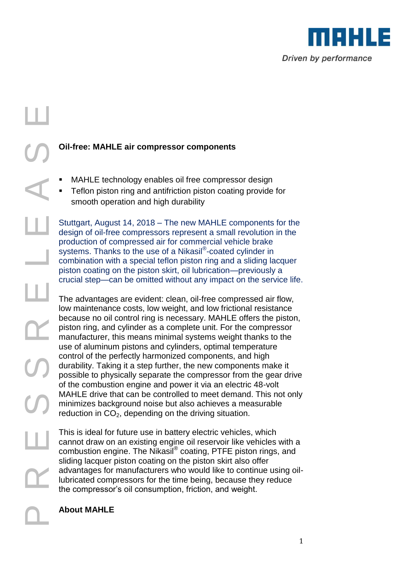

## College on the pist<br>
College System and the pist<br>
College pist<br>
College pist<br>
College pist<br>
College pist<br>
College pist<br>
College pist<br>
College pist<br>
College pist<br>
College pist<br>
College pist<br>
College pist<br>
College pist<br>
Coll

Ш

## **Oil-free: MAHLE air compressor components**

- MAHLE technology enables oil free compressor design
- Teflon piston ring and antifriction piston coating provide for smooth operation and high durability

Stuttgart, August 14, 2018 – The new MAHLE components for the design of oil-free compressors represent a small revolution in the production of compressed air for commercial vehicle brake systems. Thanks to the use of a Nikasil® -coated cylinder in combination with a special teflon piston ring and a sliding lacquer piston coating on the piston skirt, oil lubrication—previously a crucial step—can be omitted without any impact on the service life.

The advantages are evident: clean, oil-free compressed air flow, low maintenance costs, low weight, and low frictional resistance because no oil control ring is necessary. MAHLE offers the piston, piston ring, and cylinder as a complete unit. For the compressor manufacturer, this means minimal systems weight thanks to the use of aluminum pistons and cylinders, optimal temperature control of the perfectly harmonized components, and high durability. Taking it a step further, the new components make it possible to physically separate the compressor from the gear drive of the combustion engine and power it via an electric 48-volt MAHLE drive that can be controlled to meet demand. This not only minimizes background noise but also achieves a measurable reduction in  $CO<sub>2</sub>$ , depending on the driving situation.

This is ideal for future use in battery electric vehicles, which cannot draw on an existing engine oil reservoir like vehicles with a combustion engine. The Nikasil® coating, PTFE piston rings, and sliding lacquer piston coating on the piston skirt also offer advantages for manufacturers who would like to continue using oillubricated compressors for the time being, because they reduce the compressor's oil consumption, friction, and weight.

## **About MAHLE**